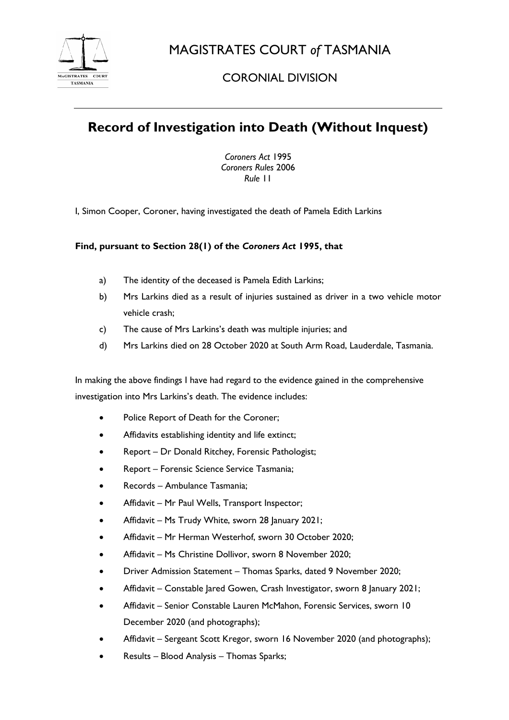

MAGISTRATES COURT *of* TASMANIA

# CORONIAL DIVISION

# **Record of Investigation into Death (Without Inquest)**

*Coroners Act* 1995 *Coroners Rules* 2006 *Rule* 11

I, Simon Cooper, Coroner, having investigated the death of Pamela Edith Larkins

### **Find, pursuant to Section 28(1) of the** *Coroners Act* **1995, that**

- a) The identity of the deceased is Pamela Edith Larkins;
- b) Mrs Larkins died as a result of injuries sustained as driver in a two vehicle motor vehicle crash;
- c) The cause of Mrs Larkins's death was multiple injuries; and
- d) Mrs Larkins died on 28 October 2020 at South Arm Road, Lauderdale, Tasmania.

In making the above findings I have had regard to the evidence gained in the comprehensive investigation into Mrs Larkins's death. The evidence includes:

- Police Report of Death for the Coroner;
- Affidavits establishing identity and life extinct;
- Report Dr Donald Ritchey, Forensic Pathologist;
- Report Forensic Science Service Tasmania;
- Records Ambulance Tasmania;
- Affidavit Mr Paul Wells, Transport Inspector;
- Affidavit Ms Trudy White, sworn 28 January 2021;
- Affidavit Mr Herman Westerhof, sworn 30 October 2020;
- Affidavit Ms Christine Dollivor, sworn 8 November 2020;
- Driver Admission Statement Thomas Sparks, dated 9 November 2020;
- Affidavit Constable Jared Gowen, Crash Investigator, sworn 8 January 2021;
- Affidavit Senior Constable Lauren McMahon, Forensic Services, sworn 10 December 2020 (and photographs);
- Affidavit Sergeant Scott Kregor, sworn 16 November 2020 (and photographs);
- Results Blood Analysis Thomas Sparks;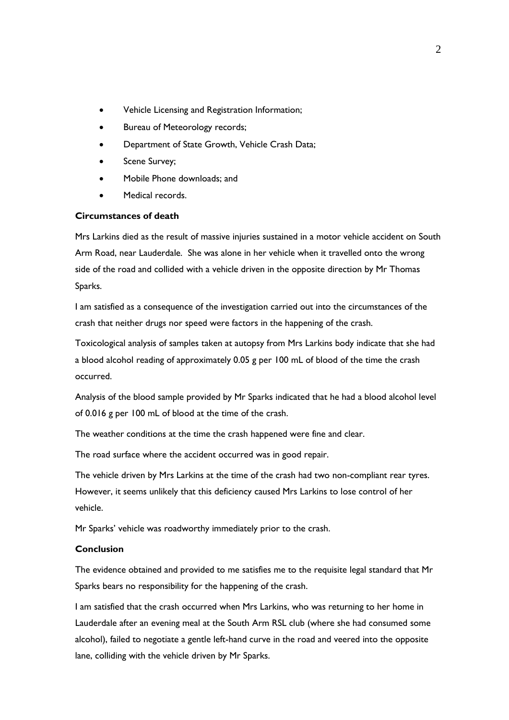- Vehicle Licensing and Registration Information;
- Bureau of Meteorology records;
- Department of State Growth, Vehicle Crash Data;
- Scene Survey;
- Mobile Phone downloads; and
- Medical records.

#### **Circumstances of death**

Mrs Larkins died as the result of massive injuries sustained in a motor vehicle accident on South Arm Road, near Lauderdale. She was alone in her vehicle when it travelled onto the wrong side of the road and collided with a vehicle driven in the opposite direction by Mr Thomas Sparks.

I am satisfied as a consequence of the investigation carried out into the circumstances of the crash that neither drugs nor speed were factors in the happening of the crash.

Toxicological analysis of samples taken at autopsy from Mrs Larkins body indicate that she had a blood alcohol reading of approximately 0.05 g per 100 mL of blood of the time the crash occurred.

Analysis of the blood sample provided by Mr Sparks indicated that he had a blood alcohol level of 0.016 g per 100 mL of blood at the time of the crash.

The weather conditions at the time the crash happened were fine and clear.

The road surface where the accident occurred was in good repair.

The vehicle driven by Mrs Larkins at the time of the crash had two non-compliant rear tyres. However, it seems unlikely that this deficiency caused Mrs Larkins to lose control of her vehicle.

Mr Sparks' vehicle was roadworthy immediately prior to the crash.

#### **Conclusion**

The evidence obtained and provided to me satisfies me to the requisite legal standard that Mr Sparks bears no responsibility for the happening of the crash.

I am satisfied that the crash occurred when Mrs Larkins, who was returning to her home in Lauderdale after an evening meal at the South Arm RSL club (where she had consumed some alcohol), failed to negotiate a gentle left-hand curve in the road and veered into the opposite lane, colliding with the vehicle driven by Mr Sparks.